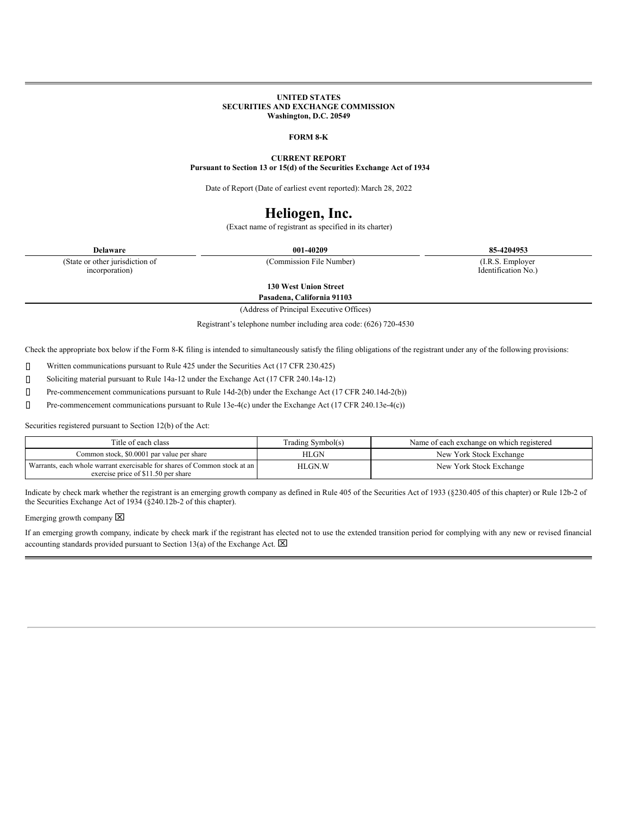## **UNITED STATES SECURITIES AND EXCHANGE COMMISSION Washington, D.C. 20549**

# **FORM 8-K**

# **CURRENT REPORT Pursuant to Section 13 or 15(d) of the Securities Exchange Act of 1934**

Date of Report (Date of earliest event reported): March 28, 2022

# **Heliogen, Inc.**

(Exact name of registrant as specified in its charter)

(State or other jurisdiction of incorporation)

(Commission File Number) (I.R.S. Employer

**Delaware 001-40209 85-4204953**

**Pasadena, California 91103**

(Address of Principal Executive Offices)

Registrant's telephone number including area code: (626) 720-4530

Check the appropriate box below if the Form 8-K filing is intended to simultaneously satisfy the filing obligations of the registrant under any of the following provisions:

Written communications pursuant to Rule 425 under the Securities Act (17 CFR 230.425)

Soliciting material pursuant to Rule 14a-12 under the Exchange Act (17 CFR 240.14a-12)

Pre-commencement communications pursuant to Rule 14d-2(b) under the Exchange Act (17 CFR 240.14d-2(b))

 $\Pi$  Pre-commencement communications pursuant to Rule 13e-4(c) under the Exchange Act (17 CFR 240.13e-4(c))

Securities registered pursuant to Section 12(b) of the Act:

| Title of each class                                                                                              | Trading Symbol(s) | Name of each exchange on which registered |
|------------------------------------------------------------------------------------------------------------------|-------------------|-------------------------------------------|
| Common stock, \$0,0001 par value per share                                                                       | HLGN              | New York Stock Exchange                   |
| Warrants, each whole warrant exercisable for shares of Common stock at an<br>exercise price of \$11.50 per share | HLGN.W            | New York Stock Exchange                   |

Indicate by check mark whether the registrant is an emerging growth company as defined in Rule 405 of the Securities Act of 1933 (§230.405 of this chapter) or Rule 12b-2 of the Securities Exchange Act of 1934 (§240.12b-2 of this chapter).

Emerging growth company  $\boxtimes$ 

If an emerging growth company, indicate by check mark if the registrant has elected not to use the extended transition period for complying with any new or revised financial accounting standards provided pursuant to Section 13(a) of the Exchange Act.  $[ \times ]$ 

**130 West Union Street**

Identification No.)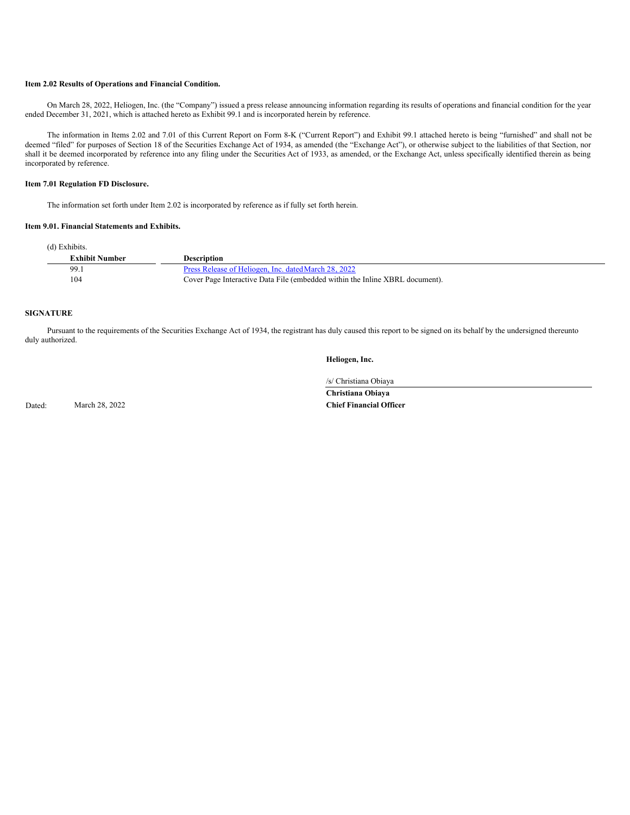## **Item 2.02 Results of Operations and Financial Condition.**

On March 28, 2022, Heliogen, Inc. (the "Company") issued a press release announcing information regarding its results of operations and financial condition for the year ended December 31, 2021, which is attached hereto as Exhibit 99.1 and is incorporated herein by reference.

The information in Items 2.02 and 7.01 of this Current Report on Form 8-K ("Current Report") and Exhibit 99.1 attached hereto is being "furnished" and shall not be deemed "filed" for purposes of Section 18 of the Securities Exchange Act of 1934, as amended (the "Exchange Act"), or otherwise subject to the liabilities of that Section, nor shall it be deemed incorporated by reference into any filing under the Securities Act of 1933, as amended, or the Exchange Act, unless specifically identified therein as being incorporated by reference.

## **Item 7.01 Regulation FD Disclosure.**

The information set forth under Item 2.02 is incorporated by reference as if fully set forth herein.

# **Item 9.01. Financial Statements and Exhibits.**

| (d) Exhibits.         |                                                                              |
|-----------------------|------------------------------------------------------------------------------|
| <b>Exhibit Number</b> | <b>Description</b>                                                           |
| 99.1                  | Press Release of Heliogen, Inc. dated March 28, 2022                         |
| 104                   | Cover Page Interactive Data File (embedded within the Inline XBRL document). |

# **SIGNATURE**

Pursuant to the requirements of the Securities Exchange Act of 1934, the registrant has duly caused this report to be signed on its behalf by the undersigned thereunto duly authorized.

## **Heliogen, Inc.**

/s/ Christiana Obiaya

Dated: March 28, 2022 **Chief Financial Officer**

**Christiana Obiaya**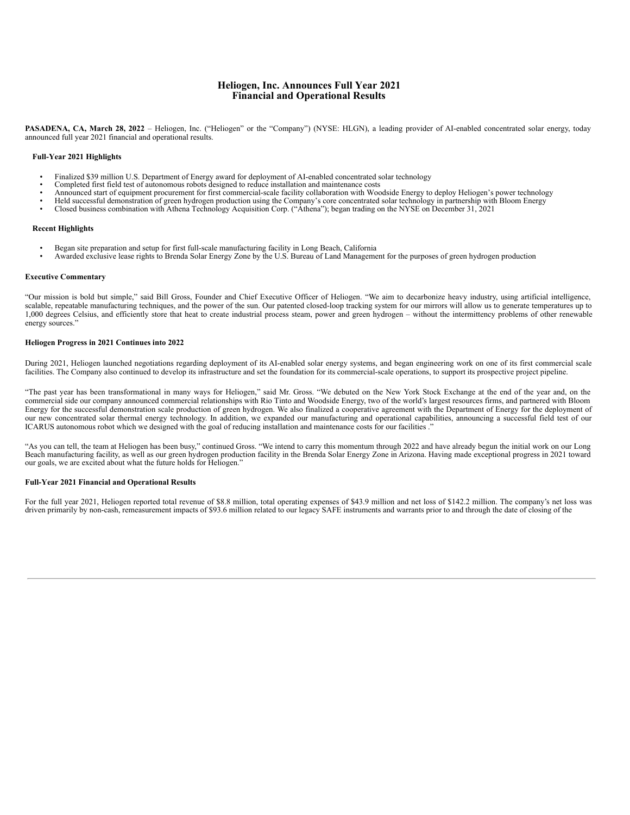# **Heliogen, Inc. Announces Full Year 2021 Financial and Operational Results**

**PASADENA, CA, March 28, 2022** – Heliogen, Inc. ("Heliogen" or the "Company") (NYSE: HLGN), a leading provider of AI-enabled concentrated solar energy, today announced full year 2021 financial and operational results.

# **Full-Year 2021 Highlights**

- Finalized \$39 million U.S. Department of Energy award for deployment of AI-enabled concentrated solar technology
- Completed first field test of autonomous robots designed to reduce installation and maintenance costs
- Announced start of equipment procurement for first commercial-scale facility collaboration with Woodside Energy to deploy Heliogen's power technology
- Held successful demonstration of green hydrogen production using the Company's core concentrated solar technology in partnership with Bloom Energy<br>Closed business combination with Athena Technology Acquisition Corp. ("Athe
- 

## **Recent Highlights**

- Began site preparation and setup for first full-scale manufacturing facility in Long Beach, California
- Awarded exclusive lease rights to Brenda Solar Energy Zone by the U.S. Bureau of Land Management for the purposes of green hydrogen production

#### **Executive Commentary**

"Our mission is bold but simple," said Bill Gross, Founder and Chief Executive Officer of Heliogen. "We aim to decarbonize heavy industry, using artificial intelligence, scalable, repeatable manufacturing techniques, and the power of the sun. Our patented closed-loop tracking system for our mirrors will allow us to generate temperatures up to 1,000 degrees Celsius, and efficiently store that heat to create industrial process steam, power and green hydrogen – without the intermittency problems of other renewable energy sources."

# **Heliogen Progress in 2021 Continues into 2022**

During 2021, Heliogen launched negotiations regarding deployment of its AI-enabled solar energy systems, and began engineering work on one of its first commercial scale facilities. The Company also continued to develop its infrastructure and set the foundation for its commercial-scale operations, to support its prospective project pipeline.

"The past year has been transformational in many ways for Heliogen," said Mr. Gross. "We debuted on the New York Stock Exchange at the end of the year and, on the commercial side our company announced commercial relationships with Rio Tinto and Woodside Energy, two of the world's largest resources firms, and partnered with Bloom Energy for the successful demonstration scale production of green hydrogen. We also finalized a cooperative agreement with the Department of Energy for the deployment of our new concentrated solar thermal energy technology. In addition, we expanded our manufacturing and operational capabilities, announcing a successful field test of our ICARUS autonomous robot which we designed with the goal of reducing installation and maintenance costs for our facilities ."

"As you can tell, the team at Heliogen has been busy," continued Gross. "We intend to carry this momentum through 2022 and have already begun the initial work on our Long<br>Beach manufacturing facility, as well as our green our goals, we are excited about what the future holds for Heliogen."

#### **Full-Year 2021 Financial and Operational Results**

For the full year 2021, Heliogen reported total revenue of \$8.8 million, total operating expenses of \$43.9 million and net loss of \$142.2 million. The company's net loss was driven primarily by non-cash, remeasurement impacts of \$93.6 million related to our legacy SAFE instruments and warrants prior to and through the date of closing of the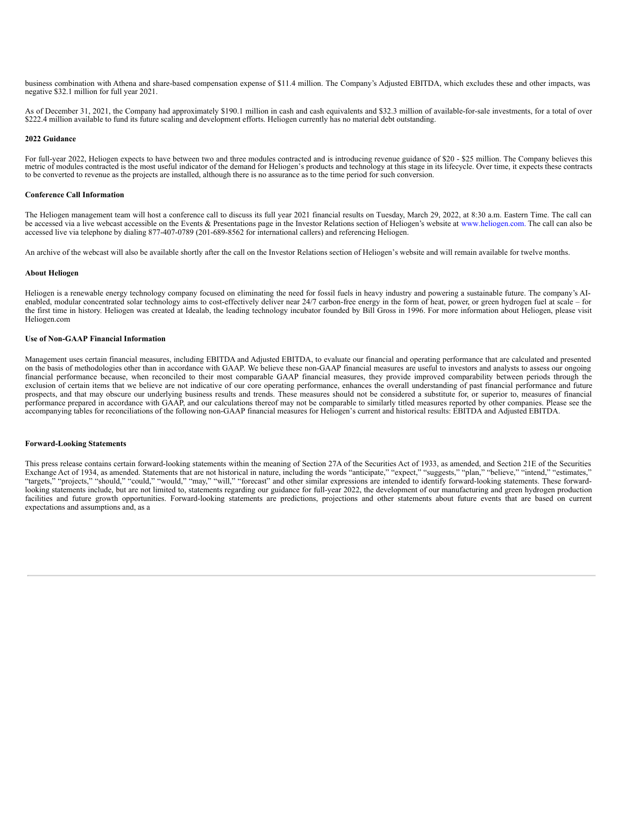business combination with Athena and share-based compensation expense of \$11.4 million. The Company's Adjusted EBITDA, which excludes these and other impacts, was negative \$32.1 million for full year 2021.

As of December 31, 2021, the Company had approximately \$190.1 million in cash and cash equivalents and \$32.3 million of available-for-sale investments, for a total of over \$222.4 million available to fund its future scaling and development efforts. Heliogen currently has no material debt outstanding.

## **2022 Guidance**

For full-year 2022, Heliogen expects to have between two and three modules contracted and is introducing revenue guidance of \$20 - \$25 million. The Company believes this metric of modules contracted is the most useful indicator of the demand for Heliogen's products and technology at this stage in its lifecycle. Over time, it expects these contracts to be converted to revenue as the projects are installed, although there is no assurance as to the time period for such conversion.

#### **Conference Call Information**

The Heliogen management team will host a conference call to discuss its full year 2021 financial results on Tuesday, March 29, 2022, at 8:30 a.m. Eastern Time. The call can be accessed via a live webcast accessible on the Events & Presentations page in the Investor Relations section of Heliogen's website at www.heliogen.com. The call can also be accessed live via telephone by dialing 877-407-0789 (201-689-8562 for international callers) and referencing Heliogen.

An archive of the webcast will also be available shortly after the call on the Investor Relations section of Heliogen's website and will remain available for twelve months.

## **About Heliogen**

Heliogen is a renewable energy technology company focused on eliminating the need for fossil fuels in heavy industry and powering a sustainable future. The company's AIenabled, modular concentrated solar technology aims to cost-effectively deliver near 24/7 carbon-free energy in the form of heat, power, or green hydrogen fuel at scale – for the first time in history. Heliogen was created at Idealab, the leading technology incubator founded by Bill Gross in 1996. For more information about Heliogen, please visit Heliogen.com

# **Use of Non-GAAP Financial Information**

Management uses certain financial measures, including EBITDA and Adjusted EBITDA, to evaluate our financial and operating performance that are calculated and presented on the basis of methodologies other than in accordance with GAAP. We believe these non-GAAP financial measures are useful to investors and analysts to assess our ongoing financial performance because, when reconciled to their most comparable GAAP financial measures, they provide improved comparability between periods through the exclusion of certain items that we believe are not indicative of our core operating performance, enhances the overall understanding of past financial performance and future prospects, and that may obscure our underlying business results and trends. These measures should not be considered a substitute for, or superior to, measures of financial performance prepared in accordance with GAAP, and our calculations thereof may not be comparable to similarly titled measures reported by other companies. Please see the accompanying tables for reconciliations of the following non-GAAP financial measures for Heliogen's current and historical results: EBITDA and Adjusted EBITDA.

## **Forward-Looking Statements**

This press release contains certain forward-looking statements within the meaning of Section 27A of the Securities Act of 1933, as amended, and Section 21E of the Securities Exchange Act of 1934, as amended. Statements that are not historical in nature, including the words "anticipate," "expect," "suggests," "plan," "believe," "intend," "estimates," "targets," "projects," "should," "could," "would," "may," "will," "forecast" and other similar expressions are intended to identify forward-looking statements. These forwardlooking statements include, but are not limited to, statements regarding our guidance for full-year 2022, the development of our manufacturing and green hydrogen production facilities and future growth opportunities. Forward-looking statements are predictions, projections and other statements about future events that are based on current expectations and assumptions and, as a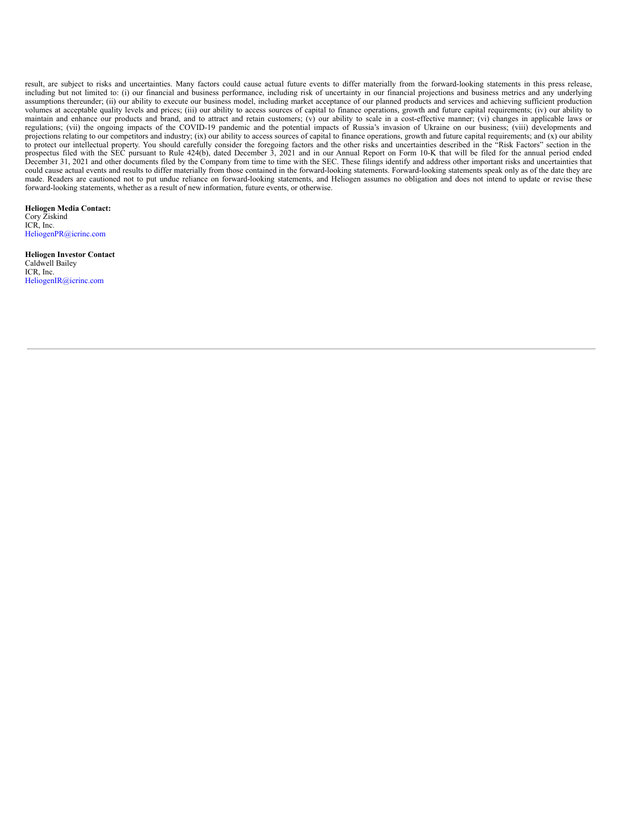<span id="page-4-0"></span>result, are subject to risks and uncertainties. Many factors could cause actual future events to differ materially from the forward-looking statements in this press release, including but not limited to: (i) our financial and business performance, including risk of uncertainty in our financial projections and business metrics and any underlying assumptions thereunder; (ii) our ability to execute our business model, including market acceptance of our planned products and services and achieving sufficient production volumes at acceptable quality levels and prices; (iii) our ability to access sources of capital to finance operations, growth and future capital requirements; (iv) our ability to volumes at acceptable quality levels and pr maintain and enhance our products and brand, and to attract and retain customers; (v) our ability to scale in a cost-effective manner; (vi) changes in applicable laws or regulations; (vii) the ongoing impacts of the COVID-19 pandemic and the potential impacts of Russia's invasion of Ukraine on our business; (viii) developments and projections relating to our competitors and industry; (ix) our ability to access sources of capital to finance operations, growth and future capital requirements; and (x) our ability to protect our intellectual property. You should carefully consider the foregoing factors and the other risks and uncertainties described in the "Risk Factors" section in the prospectus filed with the SEC pursuant to Rule 424(b), dated December 3, 2021 and in our Annual Report on Form 10-K that will be filed for the annual period ended December 31, 2021 and other documents filed by the Company from time to time with the SEC. These filings identify and address other important risks and uncertainties that could cause actual events and results to differ materially from those contained in the forward-looking statements. Forward-looking statements speak only as of the date they are made. Readers are cautioned not to put undue reliance on forward-looking statements, and Heliogen assumes no obligation and does not intend to update or revise these forward-looking statements, whether as a result of new information, future events, or otherwise.

**Heliogen Media Contact:** Cory Ziskind ICR, Inc. HeliogenPR@icrinc.com

**Heliogen Investor Contact** Caldwell Bailey ICR, Inc. HeliogenIR@icrinc.com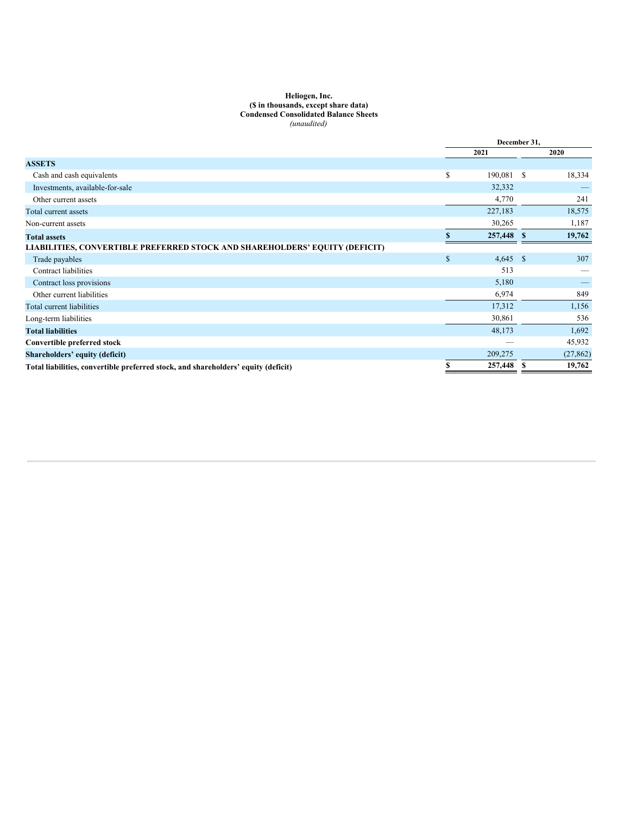#### **Heliogen, Inc. (\$ in thousands, except share data) Condensed Consolidated Balance Sheets** *(unaudited)*

|                                                                                    | December 31, |            |      |           |
|------------------------------------------------------------------------------------|--------------|------------|------|-----------|
|                                                                                    |              | 2021       |      | 2020      |
| <b>ASSETS</b>                                                                      |              |            |      |           |
| Cash and cash equivalents                                                          | S            | 190,081    | - \$ | 18,334    |
| Investments, available-for-sale                                                    |              | 32,332     |      |           |
| Other current assets                                                               |              | 4,770      |      | 241       |
| Total current assets                                                               |              | 227,183    |      | 18,575    |
| Non-current assets                                                                 |              | 30,265     |      | 1,187     |
| <b>Total assets</b>                                                                |              | 257,448    | - \$ | 19,762    |
| LIABILITIES, CONVERTIBLE PREFERRED STOCK AND SHAREHOLDERS' EQUITY (DEFICIT)        |              |            |      |           |
| Trade payables                                                                     | S            | $4,645$ \$ |      | 307       |
| Contract liabilities                                                               |              | 513        |      |           |
| Contract loss provisions                                                           |              | 5,180      |      |           |
| Other current liabilities                                                          |              | 6,974      |      | 849       |
| Total current liabilities                                                          |              | 17,312     |      | 1,156     |
| Long-term liabilities                                                              |              | 30,861     |      | 536       |
| <b>Total liabilities</b>                                                           |              | 48,173     |      | 1,692     |
| Convertible preferred stock                                                        |              |            |      | 45,932    |
| Shareholders' equity (deficit)                                                     |              | 209,275    |      | (27, 862) |
| Total liabilities, convertible preferred stock, and shareholders' equity (deficit) |              | 257,448    | -S   | 19,762    |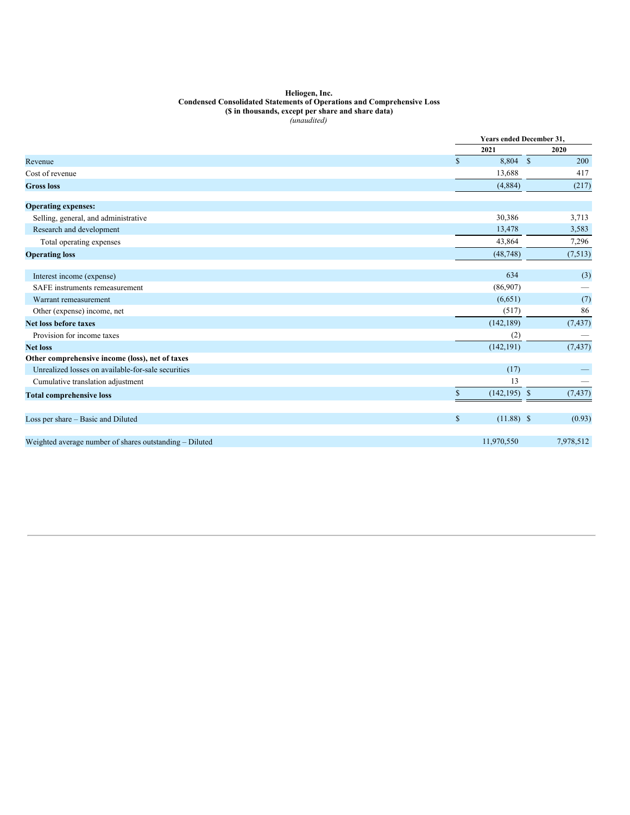## **Heliogen, Inc. Condensed Consolidated Statements of Operations and Comprehensive Loss (\$ in thousands, except per share and share data)** *(unaudited)*

|                                                         |                              | Years ended December 31, |           |
|---------------------------------------------------------|------------------------------|--------------------------|-----------|
|                                                         | 2021                         |                          | 2020      |
| Revenue                                                 | $\mathbb{S}$                 | 8,804 \$                 | 200       |
| Cost of revenue                                         | 13,688                       |                          | 417       |
| <b>Gross loss</b>                                       | (4,884)                      |                          | (217)     |
| <b>Operating expenses:</b>                              |                              |                          |           |
| Selling, general, and administrative                    | 30,386                       |                          | 3,713     |
| Research and development                                | 13,478                       |                          | 3,583     |
| Total operating expenses                                | 43,864                       |                          | 7,296     |
| <b>Operating loss</b>                                   | (48, 748)                    |                          | (7,513)   |
| Interest income (expense)                               | 634                          |                          | (3)       |
| SAFE instruments remeasurement                          | (86,907)                     |                          |           |
| Warrant remeasurement                                   | (6,651)                      |                          | (7)       |
| Other (expense) income, net                             | (517)                        |                          | 86        |
| <b>Net loss before taxes</b>                            | (142, 189)                   |                          | (7, 437)  |
| Provision for income taxes                              |                              | (2)                      |           |
| <b>Net loss</b>                                         | (142, 191)                   |                          | (7, 437)  |
| Other comprehensive income (loss), net of taxes         |                              |                          |           |
| Unrealized losses on available-for-sale securities      | (17)                         |                          |           |
| Cumulative translation adjustment                       | 13                           |                          |           |
| <b>Total comprehensive loss</b>                         | $(142, 195)$ \$<br>\$        |                          | (7, 437)  |
| Loss per share - Basic and Diluted                      | $\mathbb{S}$<br>$(11.88)$ \$ |                          | (0.93)    |
|                                                         |                              |                          |           |
| Weighted average number of shares outstanding – Diluted | 11,970,550                   |                          | 7,978,512 |